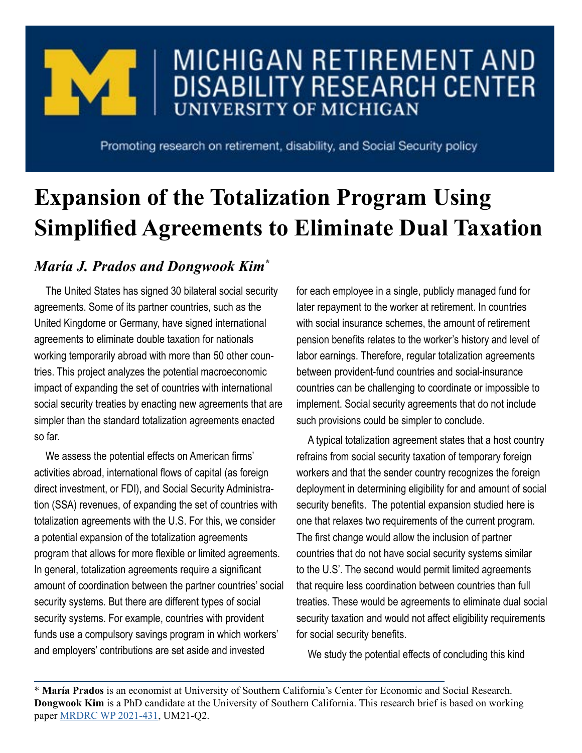

## MICHIGAN RETIREMENT AND **DISABILITY RESEARCH CENTER UNIVERSITY OF MICHIGAN**

Promoting research on retirement, disability, and Social Security policy

## **Expansion of the Totalization Program Using Simplified Agreements to Eliminate Dual Taxation**

## *María J. Prados and Dongwook Kim\**

The United States has signed 30 bilateral social security agreements. Some of its partner countries, such as the United Kingdome or Germany, have signed international agreements to eliminate double taxation for nationals working temporarily abroad with more than 50 other countries. This project analyzes the potential macroeconomic impact of expanding the set of countries with international social security treaties by enacting new agreements that are simpler than the standard totalization agreements enacted so far.

We assess the potential effects on American firms' activities abroad, international flows of capital (as foreign direct investment, or FDI), and Social Security Administration (SSA) revenues, of expanding the set of countries with totalization agreements with the U.S. For this, we consider a potential expansion of the totalization agreements program that allows for more flexible or limited agreements. In general, totalization agreements require a significant amount of coordination between the partner countries' social security systems. But there are different types of social security systems. For example, countries with provident funds use a compulsory savings program in which workers' and employers' contributions are set aside and invested

for each employee in a single, publicly managed fund for later repayment to the worker at retirement. In countries with social insurance schemes, the amount of retirement pension benefits relates to the worker's history and level of labor earnings. Therefore, regular totalization agreements between provident-fund countries and social-insurance countries can be challenging to coordinate or impossible to implement. Social security agreements that do not include such provisions could be simpler to conclude.

A typical totalization agreement states that a host country refrains from social security taxation of temporary foreign workers and that the sender country recognizes the foreign deployment in determining eligibility for and amount of social security benefits. The potential expansion studied here is one that relaxes two requirements of the current program. The first change would allow the inclusion of partner countries that do not have social security systems similar to the U.S'. The second would permit limited agreements that require less coordination between countries than full treaties. These would be agreements to eliminate dual social security taxation and would not affect eligibility requirements for social security benefits.

We study the potential effects of concluding this kind

\* **María Prados** is an economist at University of Southern California's Center for Economic and Social Research. **Dongwook Kim** is a PhD candidate at the University of Southern California. This research brief is based on working paper [MRDRC WP 2021-431](https://mrdrc.isr.umich.edu/pubs/expansion-of-the-totalization-program-using-simplified-agreements-to-eliminate-dual-taxation/), UM21-Q2.